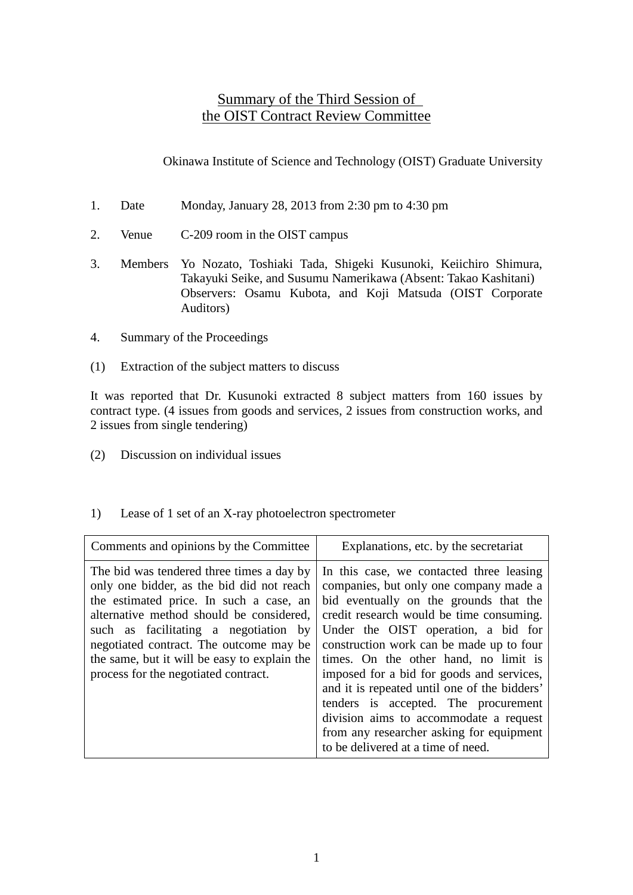### Summary of the Third Session of the OIST Contract Review Committee

Okinawa Institute of Science and Technology (OIST) Graduate University

- 1. Date Monday, January 28, 2013 from 2:30 pm to 4:30 pm
- 2. Venue C-209 room in the OIST campus
- 3. Members Yo Nozato, Toshiaki Tada, Shigeki Kusunoki, Keiichiro Shimura, Takayuki Seike, and Susumu Namerikawa (Absent: Takao Kashitani) Observers: Osamu Kubota, and Koji Matsuda (OIST Corporate Auditors)
- 4. Summary of the Proceedings
- (1) Extraction of the subject matters to discuss

It was reported that Dr. Kusunoki extracted 8 subject matters from 160 issues by contract type. (4 issues from goods and services, 2 issues from construction works, and 2 issues from single tendering)

(2) Discussion on individual issues

| 1) |  | Lease of 1 set of an X-ray photoelectron spectrometer |  |
|----|--|-------------------------------------------------------|--|
|    |  |                                                       |  |

| Comments and opinions by the Committee                                                                                                                                                                                                                                                                                                                    | Explanations, etc. by the secretariat                                                                                                                                                                                                                                                                                                                                                                                                                                                                                                                                 |
|-----------------------------------------------------------------------------------------------------------------------------------------------------------------------------------------------------------------------------------------------------------------------------------------------------------------------------------------------------------|-----------------------------------------------------------------------------------------------------------------------------------------------------------------------------------------------------------------------------------------------------------------------------------------------------------------------------------------------------------------------------------------------------------------------------------------------------------------------------------------------------------------------------------------------------------------------|
| The bid was tendered three times a day by<br>only one bidder, as the bid did not reach<br>the estimated price. In such a case, an<br>alternative method should be considered,<br>such as facilitating a negotiation by<br>negotiated contract. The outcome may be<br>the same, but it will be easy to explain the<br>process for the negotiated contract. | In this case, we contacted three leasing<br>companies, but only one company made a<br>bid eventually on the grounds that the<br>credit research would be time consuming.<br>Under the OIST operation, a bid for<br>construction work can be made up to four<br>times. On the other hand, no limit is<br>imposed for a bid for goods and services,<br>and it is repeated until one of the bidders'<br>tenders is accepted. The procurement<br>division aims to accommodate a request<br>from any researcher asking for equipment<br>to be delivered at a time of need. |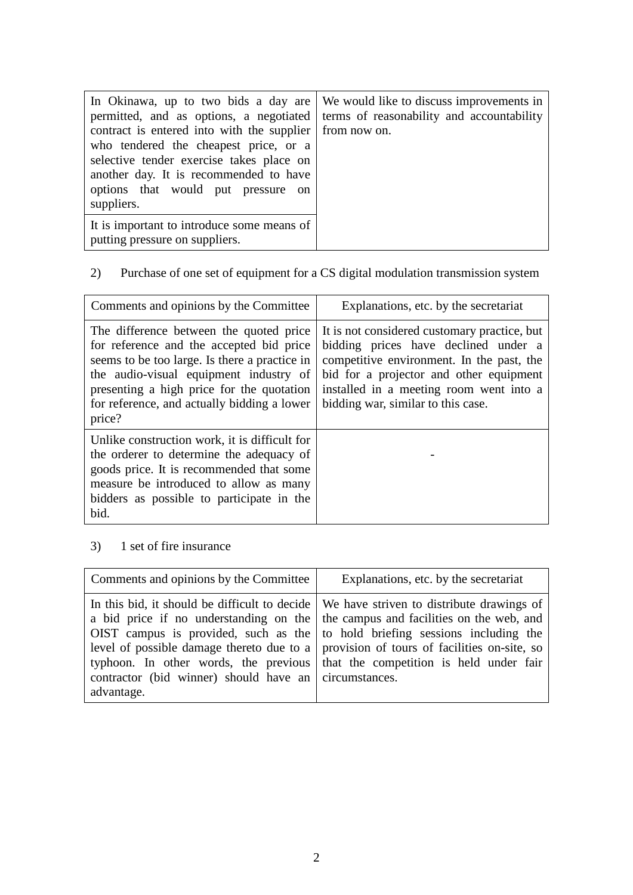| permitted, and as options, a negotiated<br>contract is entered into with the supplier from now on.<br>who tendered the cheapest price, or a<br>selective tender exercise takes place on<br>another day. It is recommended to have<br>options that would put pressure on<br>suppliers. | In Okinawa, up to two bids a day are We would like to discuss improvements in<br>terms of reasonability and accountability |
|---------------------------------------------------------------------------------------------------------------------------------------------------------------------------------------------------------------------------------------------------------------------------------------|----------------------------------------------------------------------------------------------------------------------------|
| It is important to introduce some means of<br>putting pressure on suppliers.                                                                                                                                                                                                          |                                                                                                                            |

# 2) Purchase of one set of equipment for a CS digital modulation transmission system

| Comments and opinions by the Committee                                                                                                                                                                                                                                               | Explanations, etc. by the secretariat                                                                                                                                                                                                                         |
|--------------------------------------------------------------------------------------------------------------------------------------------------------------------------------------------------------------------------------------------------------------------------------------|---------------------------------------------------------------------------------------------------------------------------------------------------------------------------------------------------------------------------------------------------------------|
| The difference between the quoted price<br>for reference and the accepted bid price<br>seems to be too large. Is there a practice in<br>the audio-visual equipment industry of<br>presenting a high price for the quotation<br>for reference, and actually bidding a lower<br>price? | It is not considered customary practice, but<br>bidding prices have declined under a<br>competitive environment. In the past, the<br>bid for a projector and other equipment<br>installed in a meeting room went into a<br>bidding war, similar to this case. |
| Unlike construction work, it is difficult for<br>the orderer to determine the adequacy of<br>goods price. It is recommended that some<br>measure be introduced to allow as many<br>bidders as possible to participate in the<br>bid.                                                 |                                                                                                                                                                                                                                                               |

# 3) 1 set of fire insurance

| Comments and opinions by the Committee                                                                                                                                                                                                     | Explanations, etc. by the secretariat                                                                                                                                                                                                                                       |
|--------------------------------------------------------------------------------------------------------------------------------------------------------------------------------------------------------------------------------------------|-----------------------------------------------------------------------------------------------------------------------------------------------------------------------------------------------------------------------------------------------------------------------------|
| a bid price if no understanding on the   the campus and facilities on the web, and<br>typhoon. In other words, the previous that the competition is held under fair<br>contractor (bid winner) should have an circumstances.<br>advantage. | In this bid, it should be difficult to decide   We have striven to distribute drawings of<br>OIST campus is provided, such as the $\vert$ to hold briefing sessions including the<br>level of possible damage thereto due to a provision of tours of facilities on-site, so |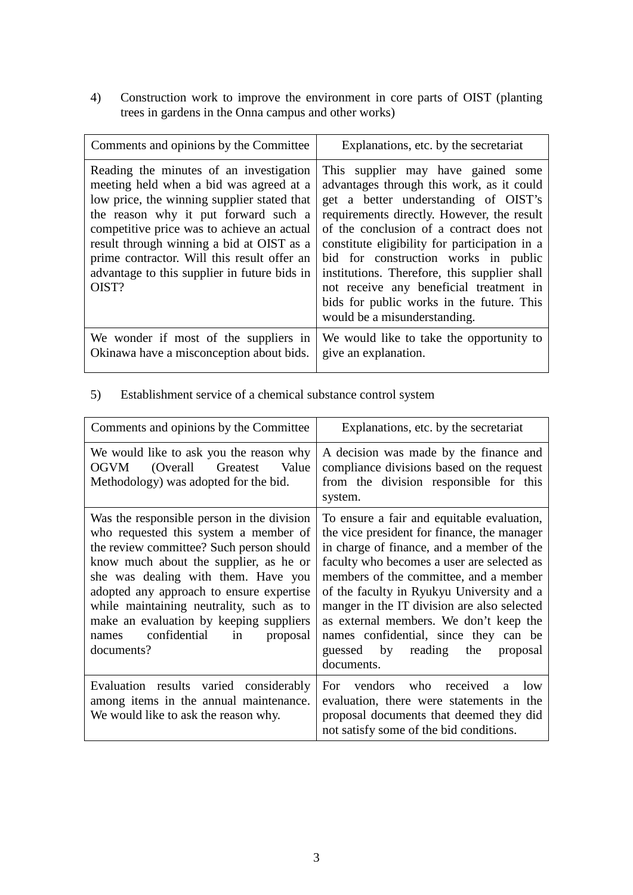4) Construction work to improve the environment in core parts of OIST (planting trees in gardens in the Onna campus and other works)

| Comments and opinions by the Committee                                                                                                                                                                                                                                                                                                                                       | Explanations, etc. by the secretariat                                                                                                                                                                                                                                                                                                                                                                                                                                              |
|------------------------------------------------------------------------------------------------------------------------------------------------------------------------------------------------------------------------------------------------------------------------------------------------------------------------------------------------------------------------------|------------------------------------------------------------------------------------------------------------------------------------------------------------------------------------------------------------------------------------------------------------------------------------------------------------------------------------------------------------------------------------------------------------------------------------------------------------------------------------|
| Reading the minutes of an investigation<br>meeting held when a bid was agreed at a<br>low price, the winning supplier stated that<br>the reason why it put forward such a<br>competitive price was to achieve an actual<br>result through winning a bid at OIST as a<br>prime contractor. Will this result offer an<br>advantage to this supplier in future bids in<br>OIST? | This supplier may have gained some<br>advantages through this work, as it could<br>get a better understanding of OIST's<br>requirements directly. However, the result<br>of the conclusion of a contract does not<br>constitute eligibility for participation in a<br>bid for construction works in public<br>institutions. Therefore, this supplier shall<br>not receive any beneficial treatment in<br>bids for public works in the future. This<br>would be a misunderstanding. |
| We wonder if most of the suppliers in<br>Okinawa have a misconception about bids.                                                                                                                                                                                                                                                                                            | We would like to take the opportunity to<br>give an explanation.                                                                                                                                                                                                                                                                                                                                                                                                                   |

#### 5) Establishment service of a chemical substance control system

| Comments and opinions by the Committee                                                                                                                                                                                                                                                                                                                                                                    | Explanations, etc. by the secretariat                                                                                                                                                                                                                                                                                                                                                                                                                          |
|-----------------------------------------------------------------------------------------------------------------------------------------------------------------------------------------------------------------------------------------------------------------------------------------------------------------------------------------------------------------------------------------------------------|----------------------------------------------------------------------------------------------------------------------------------------------------------------------------------------------------------------------------------------------------------------------------------------------------------------------------------------------------------------------------------------------------------------------------------------------------------------|
| We would like to ask you the reason why<br>(Overall Greatest)<br>OGVM<br>Value<br>Methodology) was adopted for the bid.                                                                                                                                                                                                                                                                                   | A decision was made by the finance and<br>compliance divisions based on the request<br>from the division responsible for this<br>system.                                                                                                                                                                                                                                                                                                                       |
| Was the responsible person in the division<br>who requested this system a member of<br>the review committee? Such person should<br>know much about the supplier, as he or<br>she was dealing with them. Have you<br>adopted any approach to ensure expertise<br>while maintaining neutrality, such as to<br>make an evaluation by keeping suppliers<br>confidential in<br>proposal<br>names<br>documents? | To ensure a fair and equitable evaluation,<br>the vice president for finance, the manager<br>in charge of finance, and a member of the<br>faculty who becomes a user are selected as<br>members of the committee, and a member<br>of the faculty in Ryukyu University and a<br>manger in the IT division are also selected<br>as external members. We don't keep the<br>names confidential, since they can be<br>guessed by reading the proposal<br>documents. |
| Evaluation results varied considerably<br>among items in the annual maintenance.<br>We would like to ask the reason why.                                                                                                                                                                                                                                                                                  | vendors who received<br>For<br>a<br>low<br>evaluation, there were statements in the<br>proposal documents that deemed they did<br>not satisfy some of the bid conditions.                                                                                                                                                                                                                                                                                      |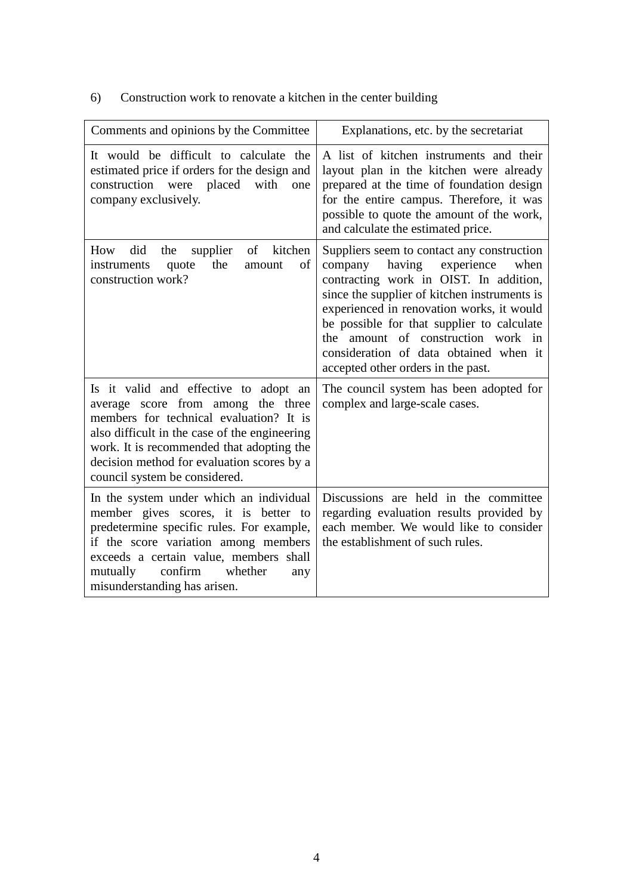| Comments and opinions by the Committee                                                                                                                                                                                                                                                              | Explanations, etc. by the secretariat                                                                                                                                                                                                                                                                                                                                                               |
|-----------------------------------------------------------------------------------------------------------------------------------------------------------------------------------------------------------------------------------------------------------------------------------------------------|-----------------------------------------------------------------------------------------------------------------------------------------------------------------------------------------------------------------------------------------------------------------------------------------------------------------------------------------------------------------------------------------------------|
|                                                                                                                                                                                                                                                                                                     |                                                                                                                                                                                                                                                                                                                                                                                                     |
| It would be difficult to calculate the<br>estimated price if orders for the design and<br>construction were placed<br>with<br>one<br>company exclusively.                                                                                                                                           | A list of kitchen instruments and their<br>layout plan in the kitchen were already<br>prepared at the time of foundation design<br>for the entire campus. Therefore, it was<br>possible to quote the amount of the work,<br>and calculate the estimated price.                                                                                                                                      |
| How<br>did<br>supplier<br>of kitchen<br>the<br>the<br>quote<br>of<br>instruments<br>amount<br>construction work?                                                                                                                                                                                    | Suppliers seem to contact any construction<br>having<br>experience<br>company<br>when<br>contracting work in OIST. In addition,<br>since the supplier of kitchen instruments is<br>experienced in renovation works, it would<br>be possible for that supplier to calculate<br>amount of construction work in<br>the<br>consideration of data obtained when it<br>accepted other orders in the past. |
| Is it valid and effective to adopt an<br>average score from among the three<br>members for technical evaluation? It is<br>also difficult in the case of the engineering<br>work. It is recommended that adopting the<br>decision method for evaluation scores by a<br>council system be considered. | The council system has been adopted for<br>complex and large-scale cases.                                                                                                                                                                                                                                                                                                                           |
| In the system under which an individual<br>member gives scores, it is better to<br>predetermine specific rules. For example,<br>if the score variation among members<br>exceeds a certain value, members shall<br>confirm<br>whether<br>mutually<br>any<br>misunderstanding has arisen.             | Discussions are held in the committee<br>regarding evaluation results provided by<br>each member. We would like to consider<br>the establishment of such rules.                                                                                                                                                                                                                                     |

# 6) Construction work to renovate a kitchen in the center building